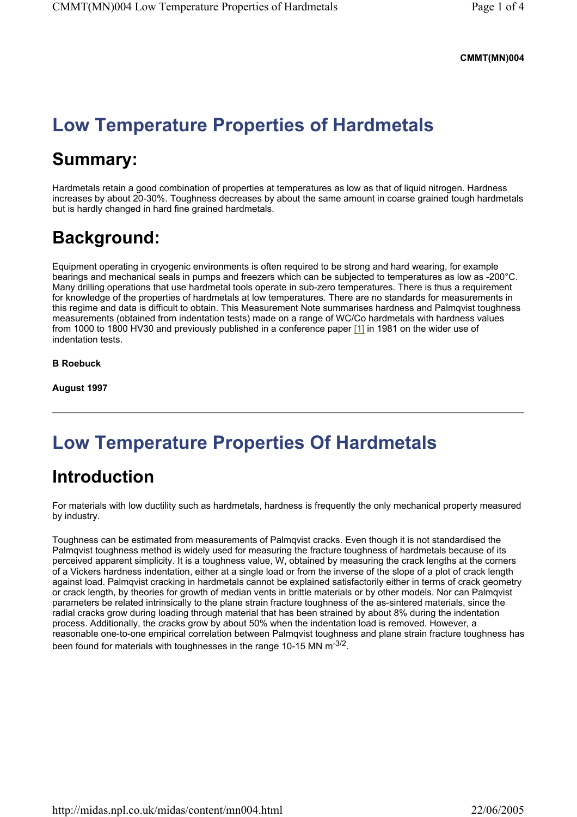### **CMMT(MN)004**

# **Low Temperature Properties of Hardmetals**

# **Summary:**

Hardmetals retain a good combination of properties at temperatures as low as that of liquid nitrogen. Hardness increases by about 20-30%. Toughness decreases by about the same amount in coarse grained tough hardmetals but is hardly changed in hard fine grained hardmetals.

## **Background:**

Equipment operating in cryogenic environments is often required to be strong and hard wearing, for example bearings and mechanical seals in pumps and freezers which can be subjected to temperatures as low as -200°C. Many drilling operations that use hardmetal tools operate in sub-zero temperatures. There is thus a requirement for knowledge of the properties of hardmetals at low temperatures. There are no standards for measurements in this regime and data is difficult to obtain. This Measurement Note summarises hardness and Palmqvist toughness measurements (obtained from indentation tests) made on a range of WC/Co hardmetals with hardness values from 1000 to 1800 HV30 and previously published in a conference paper [1] in 1981 on the wider use of indentation tests.

**B Roebuck** 

**August 1997** 

## **Low Temperature Properties Of Hardmetals**

### **Introduction**

For materials with low ductility such as hardmetals, hardness is frequently the only mechanical property measured by industry.

Toughness can be estimated from measurements of Palmqvist cracks. Even though it is not standardised the Palmqvist toughness method is widely used for measuring the fracture toughness of hardmetals because of its perceived apparent simplicity. It is a toughness value, W, obtained by measuring the crack lengths at the corners of a Vickers hardness indentation, either at a single load or from the inverse of the slope of a plot of crack length against load. Palmqvist cracking in hardmetals cannot be explained satisfactorily either in terms of crack geometry or crack length, by theories for growth of median vents in brittle materials or by other models. Nor can Palmqvist parameters be related intrinsically to the plane strain fracture toughness of the as-sintered materials, since the radial cracks grow during loading through material that has been strained by about 8% during the indentation process. Additionally, the cracks grow by about 50% when the indentation load is removed. However, a reasonable one-to-one empirical correlation between Palmqvist toughness and plane strain fracture toughness has been found for materials with toughnesses in the range 10-15 MN m<sup>-3/2</sup>.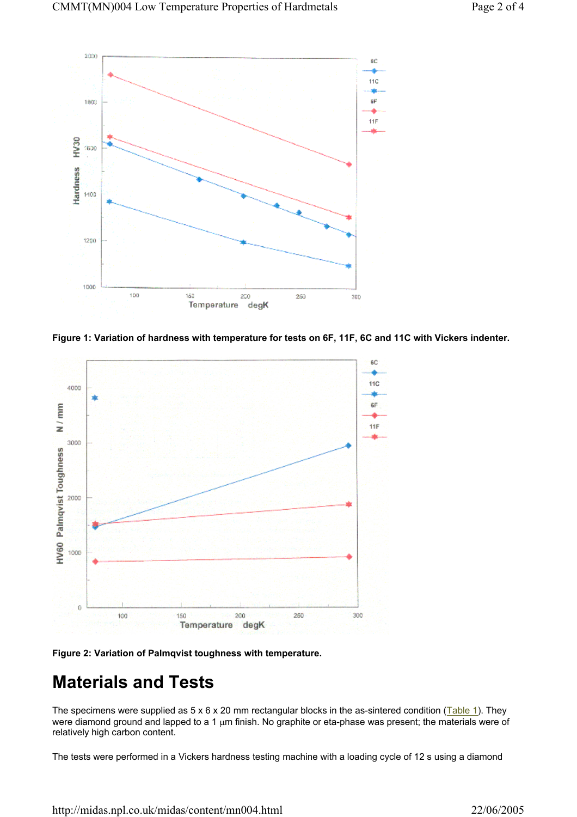





**Figure 2: Variation of Palmqvist toughness with temperature.** 

## **Materials and Tests**

The specimens were supplied as  $5 \times 6 \times 20$  mm rectangular blocks in the as-sintered condition (Table 1). They were diamond ground and lapped to a 1 µm finish. No graphite or eta-phase was present; the materials were of relatively high carbon content.

The tests were performed in a Vickers hardness testing machine with a loading cycle of 12 s using a diamond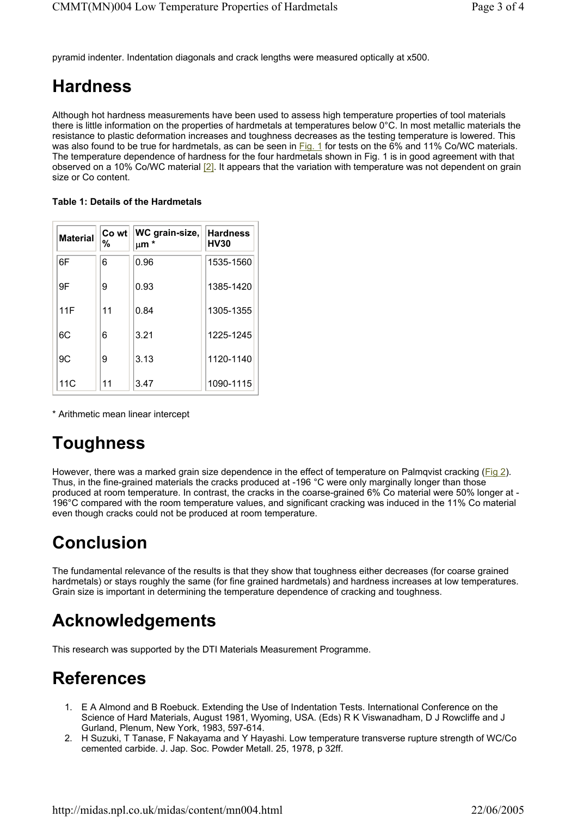pyramid indenter. Indentation diagonals and crack lengths were measured optically at x500.

### **Hardness**

Although hot hardness measurements have been used to assess high temperature properties of tool materials there is little information on the properties of hardmetals at temperatures below 0°C. In most metallic materials the resistance to plastic deformation increases and toughness decreases as the testing temperature is lowered. This was also found to be true for hardmetals, as can be seen in Fig. 1 for tests on the 6% and 11% Co/WC materials. The temperature dependence of hardness for the four hardmetals shown in Fig. 1 is in good agreement with that observed on a 10% Co/WC material [2]. It appears that the variation with temperature was not dependent on grain size or Co content.

#### **Table 1: Details of the Hardmetals**

| <b>Material</b> | Co wt<br>% | WC grain-size,<br>µm * | <b>Hardness</b><br><b>HV30</b> |
|-----------------|------------|------------------------|--------------------------------|
| 6F              | 6          | 0.96                   | 1535-1560                      |
| 9F              | 9          | 0.93                   | 1385-1420                      |
| 11F             | 11         | 0.84                   | 1305-1355                      |
| 6C              | 6          | 3.21                   | 1225-1245                      |
| 9C              | 9          | 3.13                   | 1120-1140                      |
| 11C             | 11         | 3.47                   | 1090-1115                      |

\* Arithmetic mean linear intercept

## **Toughness**

However, there was a marked grain size dependence in the effect of temperature on Palmqvist cracking (Fig 2). Thus, in the fine-grained materials the cracks produced at -196 °C were only marginally longer than those produced at room temperature. In contrast, the cracks in the coarse-grained 6% Co material were 50% longer at - 196°C compared with the room temperature values, and significant cracking was induced in the 11% Co material even though cracks could not be produced at room temperature.

## **Conclusion**

The fundamental relevance of the results is that they show that toughness either decreases (for coarse grained hardmetals) or stays roughly the same (for fine grained hardmetals) and hardness increases at low temperatures. Grain size is important in determining the temperature dependence of cracking and toughness.

### **Acknowledgements**

This research was supported by the DTI Materials Measurement Programme.

### **References**

- 1. E A Almond and B Roebuck. Extending the Use of Indentation Tests. International Conference on the Science of Hard Materials, August 1981, Wyoming, USA. (Eds) R K Viswanadham, D J Rowcliffe and J Gurland, Plenum, New York, 1983, 597-614.
- 2. H Suzuki, T Tanase, F Nakayama and Y Hayashi. Low temperature transverse rupture strength of WC/Co cemented carbide. J. Jap. Soc. Powder Metall. 25, 1978, p 32ff.